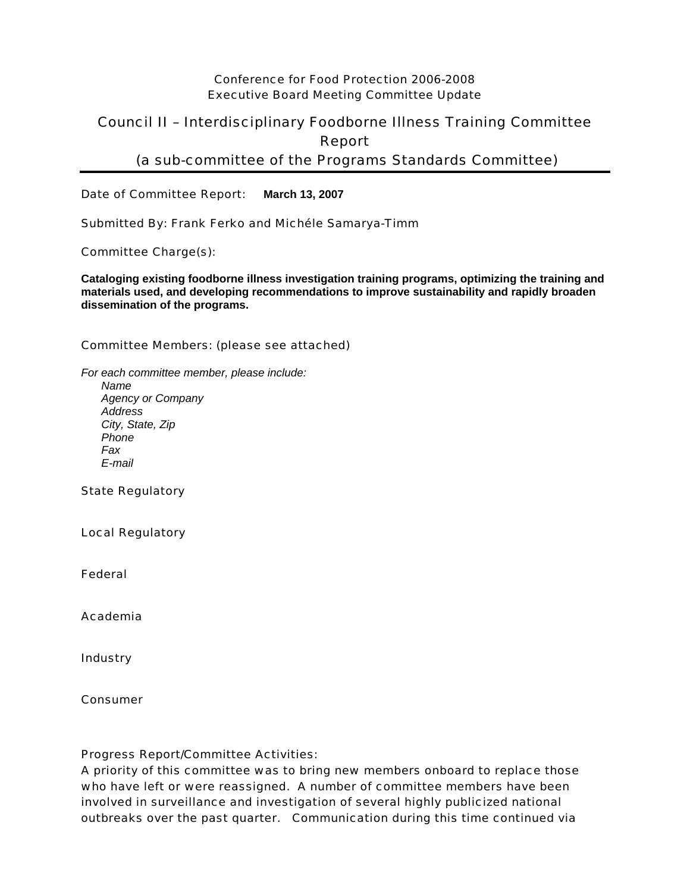## Conference for Food Protection 2006-2008 Executive Board Meeting Committee Update

## Council II – Interdisciplinary Foodborne Illness Training Committee Report (a sub-committee of the Programs Standards Committee)

Date of Committee Report: **March 13, 2007**

Submitted By: Frank Ferko and Michéle Samarya-Timm

Committee Charge(s):

**Cataloging existing foodborne illness investigation training programs, optimizing the training and materials used, and developing recommendations to improve sustainability and rapidly broaden dissemination of the programs.** 

## Committee Members: (please see attached)

*For each committee member, please include: Name Agency or Company Address City, State, Zip Phone Fax E-mail* 

State Regulatory

Local Regulatory

Federal

Academia

**Industry** 

Consumer

Progress Report/Committee Activities:

A priority of this committee was to bring new members onboard to replace those who have left or were reassigned. A number of committee members have been involved in surveillance and investigation of several highly publicized national outbreaks over the past quarter. Communication during this time continued via